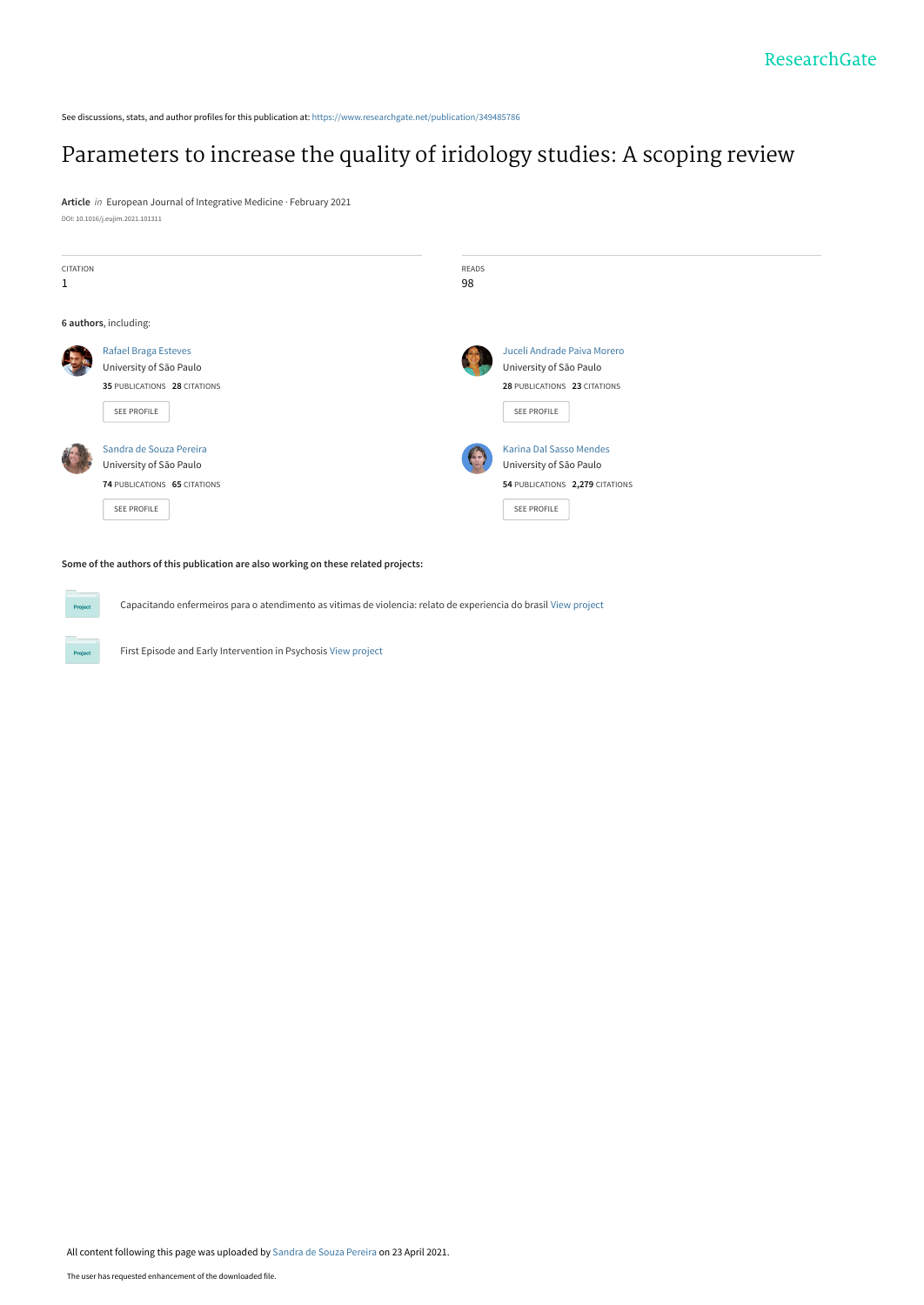See discussions, stats, and author profiles for this publication at: [https://www.researchgate.net/publication/349485786](https://www.researchgate.net/publication/349485786_Parameters_to_increase_the_quality_of_iridology_studies_A_scoping_review?enrichId=rgreq-78bbfd9ed1e3294b37db8400a30e2b6f-XXX&enrichSource=Y292ZXJQYWdlOzM0OTQ4NTc4NjtBUzoxMDE1NzQ3MDY5MzU4MDgxQDE2MTkxODQzODEwNDg%3D&el=1_x_2&_esc=publicationCoverPdf)

# [Parameters to increase the quality of iridology studies: A scoping review](https://www.researchgate.net/publication/349485786_Parameters_to_increase_the_quality_of_iridology_studies_A_scoping_review?enrichId=rgreq-78bbfd9ed1e3294b37db8400a30e2b6f-XXX&enrichSource=Y292ZXJQYWdlOzM0OTQ4NTc4NjtBUzoxMDE1NzQ3MDY5MzU4MDgxQDE2MTkxODQzODEwNDg%3D&el=1_x_3&_esc=publicationCoverPdf)

**Article** in European Journal of Integrative Medicine · February 2021 DOI: 10.1016/j.eujim.2021.101311



# **Some of the authors of this publication are also working on these related projects:**

Proj

Capacitando enfermeiros para o atendimento as vitimas de violencia: relato de experiencia do brasil [View project](https://www.researchgate.net/project/Capacitando-enfermeiros-para-o-atendimento-as-vitimas-de-violencia-relato-de-experiencia-do-brasil?enrichId=rgreq-78bbfd9ed1e3294b37db8400a30e2b6f-XXX&enrichSource=Y292ZXJQYWdlOzM0OTQ4NTc4NjtBUzoxMDE1NzQ3MDY5MzU4MDgxQDE2MTkxODQzODEwNDg%3D&el=1_x_9&_esc=publicationCoverPdf)

First Episode and Early Intervention in Psychosis [View project](https://www.researchgate.net/project/First-Episode-and-Early-Intervention-in-Psychosis?enrichId=rgreq-78bbfd9ed1e3294b37db8400a30e2b6f-XXX&enrichSource=Y292ZXJQYWdlOzM0OTQ4NTc4NjtBUzoxMDE1NzQ3MDY5MzU4MDgxQDE2MTkxODQzODEwNDg%3D&el=1_x_9&_esc=publicationCoverPdf)

All content following this page was uploaded by [Sandra de Souza Pereira](https://www.researchgate.net/profile/Sandra-Pereira-21?enrichId=rgreq-78bbfd9ed1e3294b37db8400a30e2b6f-XXX&enrichSource=Y292ZXJQYWdlOzM0OTQ4NTc4NjtBUzoxMDE1NzQ3MDY5MzU4MDgxQDE2MTkxODQzODEwNDg%3D&el=1_x_10&_esc=publicationCoverPdf) on 23 April 2021.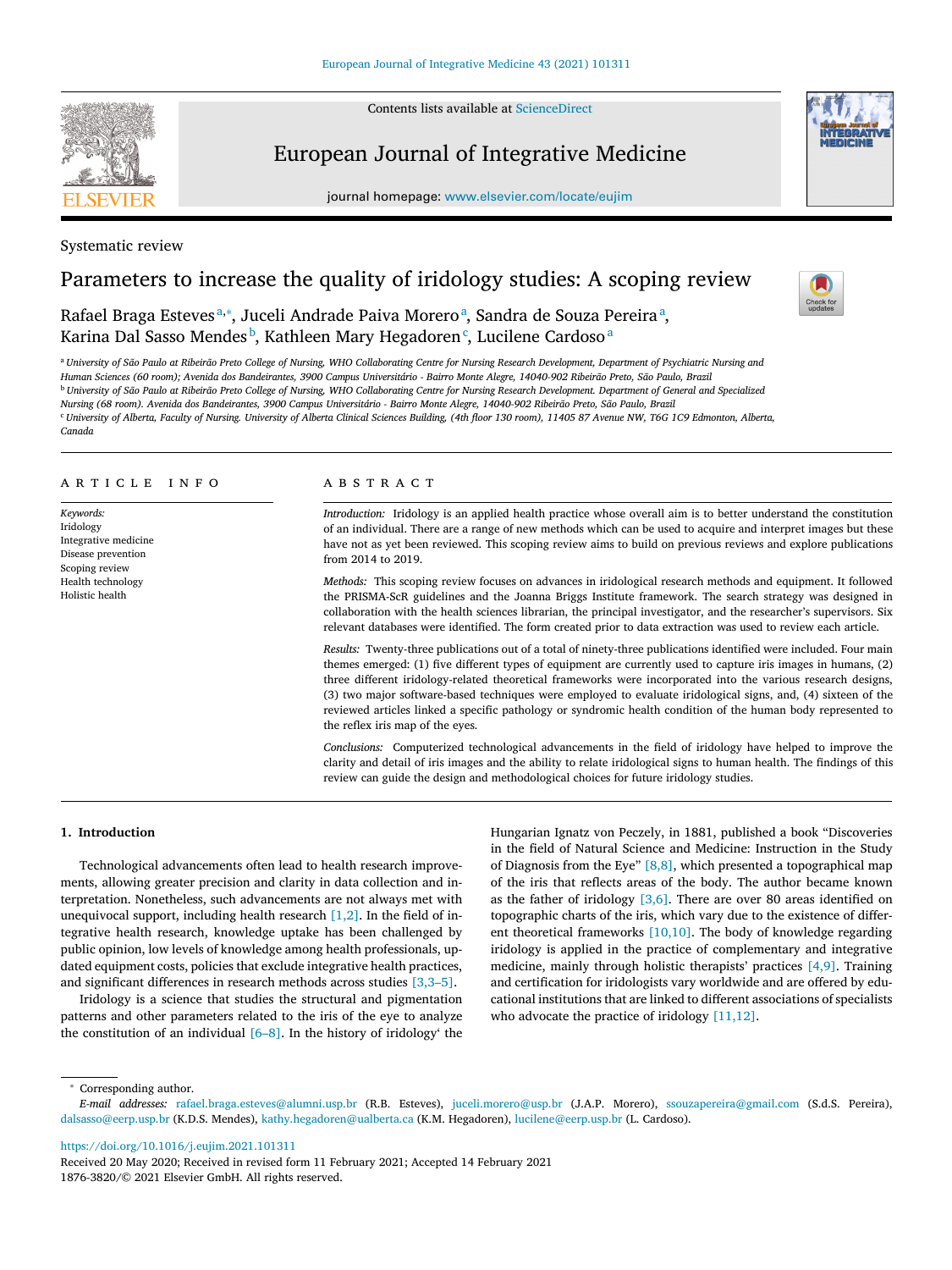Contents lists available at ScienceDirect

# European Journal of Integrative Medicine

journal homepage: www.elsevier.com/locate/eujim





# Parameters to increase the quality of iridology studies: A scoping review

Rafael Braga Esteves<sup>a,∗</sup>, Juceli Andrade Paiva Morero<sup>a</sup>, Sandra de Souza Pereira<sup>a</sup>, Karina Dal Sasso Mendes<sup>b</sup>, Kathleen Mary Hegadoren<sup>c</sup>, Lucilene Cardoso<sup>a</sup>

a University of São Paulo at Ribeirão Preto College of Nursing, WHO Collaborating Centre for Nursing Research Development, Department of Psychiatric Nursing and Human Sciences (60 room); Avenida dos Bandeirantes, 3900 Campus Universitário - Bairro Monte Alegre, 14040-902 Ribeirão Preto, São Paulo, Brazil <sup>b</sup> University of São Paulo at Ribeirão Preto College of Nursing, WHO Collaborating Centre for Nursing Research Development. Department of General and Specialized Nursing (68 room). Avenida dos Bandeirantes, 3900 Campus Universitário - Bairro Monte Alegre, 14040-902 Ribeirão Preto, São Paulo, Brazil " University of Alberta, Faculty of Nursing. University of Alberta Clinical Sciences Building, (4th floor 130 room), 11405 87 Avenue NW, T6G 1C9 Edmonton, Alberta,

*Canada*

# a r t i c l e i n f o

*Keywords:* Iridology Integrative medicine Disease prevention Scoping review Health technology Holistic health

# A B S T B A C T

*Introduction:* Iridology is an applied health practice whose overall aim is to better understand the constitution of an individual. There are a range of new methods which can be used to acquire and interpret images but these have not as yet been reviewed. This scoping review aims to build on previous reviews and explore publications from 2014 to 2019.

*Methods:* This scoping review focuses on advances in iridological research methods and equipment. It followed the PRISMA-ScR guidelines and the Joanna Briggs Institute framework. The search strategy was designed in collaboration with the health sciences librarian, the principal investigator, and the researcher's supervisors. Six relevant databases were identified. The form created prior to data extraction was used to review each article.

*Results:* Twenty-three publications out of a total of ninety-three publications identified were included. Four main themes emerged: (1) five different types of equipment are currently used to capture iris images in humans, (2) three different iridology-related theoretical frameworks were incorporated into the various research designs, (3) two major software-based techniques were employed to evaluate iridological signs, and, (4) sixteen of the reviewed articles linked a specific pathology or syndromic health condition of the human body represented to the reflex iris map of the eyes.

*Conclusions:* Computerized technological advancements in the field of iridology have helped to improve the clarity and detail of iris images and the ability to relate iridological signs to human health. The findings of this review can guide the design and methodological choices for future iridology studies.

# **1. Introduction**

Technological advancements often lead to health research improvements, allowing greater precision and clarity in data collection and interpretation. Nonetheless, such advancements are not always met with unequivocal support, including health research  $[1,2]$ . In the field of integrative health research, knowledge uptake has been challenged by public opinion, low levels of knowledge among health professionals, updated equipment costs, policies that exclude integrative health practices, and significant differences in research methods across studies [3,3–5].

Iridology is a science that studies the structural and pigmentation patterns and other parameters related to the iris of the eye to analyze the constitution of an individual  $[6–8]$ . In the history of iridology' the Hungarian Ignatz von Peczely, in 1881, published a book "Discoveries in the field of Natural Science and Medicine: Instruction in the Study of Diagnosis from the Eye"  $[8,8]$ , which presented a topographical map of the iris that reflects areas of the body. The author became known as the father of iridology  $[3,6]$ . There are over 80 areas identified on topographic charts of the iris, which vary due to the existence of different theoretical frameworks [10,10]. The body of knowledge regarding iridology is applied in the practice of complementary and integrative medicine, mainly through holistic therapists' practices [4,9]. Training and certification for iridologists vary worldwide and are offered by educational institutions that are linked to different associations of specialists who advocate the practice of iridology [11,12].

<sup>∗</sup> Corresponding author.

https://doi.org/10.1016/j.eujim.2021.101311



*E-mail addresses:* rafael.braga.esteves@alumni.usp.br (R.B. Esteves), juceli.morero@usp.br (J.A.P. Morero), ssouzapereira@gmail.com (S.d.S. Pereira), dalsasso@eerp.usp.br (K.D.S. Mendes), kathy.hegadoren@ualberta.ca (K.M. Hegadoren), lucilene@eerp.usp.br (L. Cardoso).

Received 20 May 2020; Received in revised form 11 February 2021; Accepted 14 February 2021 1876-3820/© 2021 Elsevier GmbH. All rights reserved.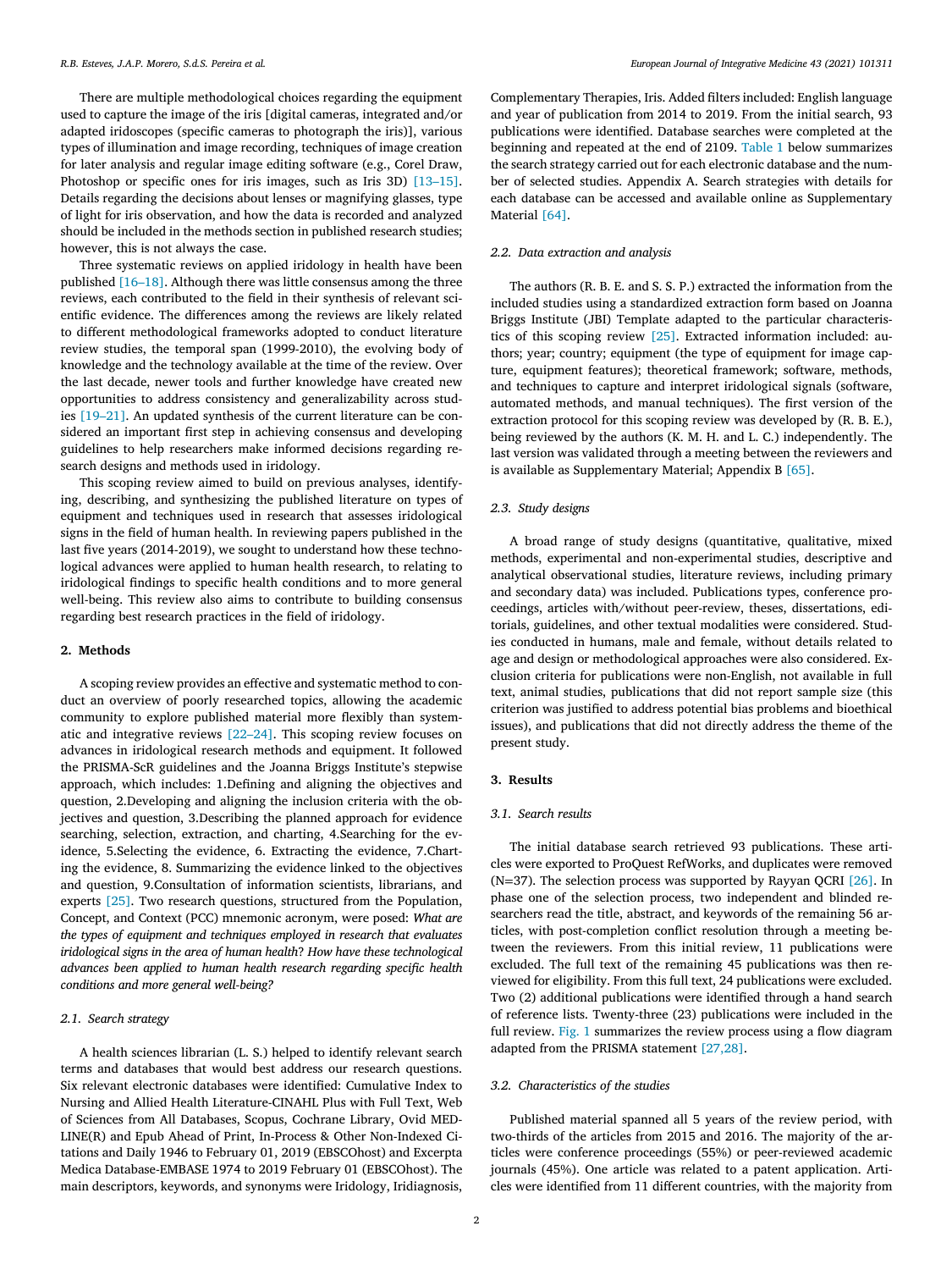There are multiple methodological choices regarding the equipment used to capture the image of the iris [digital cameras, integrated and/or adapted iridoscopes (specific cameras to photograph the iris)], various types of illumination and image recording, techniques of image creation for later analysis and regular image editing software (e.g., Corel Draw, Photoshop or specific ones for iris images, such as Iris 3D) [13–15]. Details regarding the decisions about lenses or magnifying glasses, type of light for iris observation, and how the data is recorded and analyzed should be included in the methods section in published research studies; however, this is not always the case.

Three systematic reviews on applied iridology in health have been published [16–18]. Although there was little consensus among the three reviews, each contributed to the field in their synthesis of relevant scientific evidence. The differences among the reviews are likely related to different methodological frameworks adopted to conduct literature review studies, the temporal span (1999-2010), the evolving body of knowledge and the technology available at the time of the review. Over the last decade, newer tools and further knowledge have created new opportunities to address consistency and generalizability across studies [19–21]. An updated synthesis of the current literature can be considered an important first step in achieving consensus and developing guidelines to help researchers make informed decisions regarding research designs and methods used in iridology.

This scoping review aimed to build on previous analyses, identifying, describing, and synthesizing the published literature on types of equipment and techniques used in research that assesses iridological signs in the field of human health. In reviewing papers published in the last five years (2014-2019), we sought to understand how these technological advances were applied to human health research, to relating to iridological findings to specific health conditions and to more general well-being. This review also aims to contribute to building consensus regarding best research practices in the field of iridology.

#### **2. Methods**

A scoping review provides an effective and systematic method to conduct an overview of poorly researched topics, allowing the academic community to explore published material more flexibly than systematic and integrative reviews [22–24]. This scoping review focuses on advances in iridological research methods and equipment. It followed the PRISMA-ScR guidelines and the Joanna Briggs Institute's stepwise approach, which includes: 1.Defining and aligning the objectives and question, 2.Developing and aligning the inclusion criteria with the objectives and question, 3.Describing the planned approach for evidence searching, selection, extraction, and charting, 4.Searching for the evidence, 5.Selecting the evidence, 6. Extracting the evidence, 7.Charting the evidence, 8. Summarizing the evidence linked to the objectives and question, 9.Consultation of information scientists, librarians, and experts [25]. Two research questions, structured from the Population, Concept, and Context (PCC) mnemonic acronym, were posed: *What are the types of equipment and techniques employed in research that evaluates iridological signs in the area of human health*? *How have these technological advances been applied to human health research regarding specific health conditions and more general well-being?*

## *2.1. Search strategy*

A health sciences librarian (L. S.) helped to identify relevant search terms and databases that would best address our research questions. Six relevant electronic databases were identified: Cumulative Index to Nursing and Allied Health Literature-CINAHL Plus with Full Text, Web of Sciences from All Databases, Scopus, Cochrane Library, Ovid MED-LINE(R) and Epub Ahead of Print, In-Process & Other Non-Indexed Citations and Daily 1946 to February 01, 2019 (EBSCOhost) and Excerpta Medica Database-EMBASE 1974 to 2019 February 01 (EBSCOhost). The main descriptors, keywords, and synonyms were Iridology, Iridiagnosis,

Complementary Therapies, Iris. Added filters included: English language and year of publication from 2014 to 2019. From the initial search, 93 publications were identified. Database searches were completed at the beginning and repeated at the end of 2109. Table 1 below summarizes the search strategy carried out for each electronic database and the number of selected studies. Appendix A. Search strategies with details for each database can be accessed and available online as Supplementary Material [64].

### *2.2. Data extraction and analysis*

The authors (R. B. E. and S. S. P.) extracted the information from the included studies using a standardized extraction form based on Joanna Briggs Institute (JBI) Template adapted to the particular characteristics of this scoping review [25]. Extracted information included: authors; year; country; equipment (the type of equipment for image capture, equipment features); theoretical framework; software, methods, and techniques to capture and interpret iridological signals (software, automated methods, and manual techniques). The first version of the extraction protocol for this scoping review was developed by (R. B. E.), being reviewed by the authors (K. M. H. and L. C.) independently. The last version was validated through a meeting between the reviewers and is available as Supplementary Material; Appendix B [65].

# *2.3. Study designs*

A broad range of study designs (quantitative, qualitative, mixed methods, experimental and non-experimental studies, descriptive and analytical observational studies, literature reviews, including primary and secondary data) was included. Publications types, conference proceedings, articles with/without peer-review, theses, dissertations, editorials, guidelines, and other textual modalities were considered. Studies conducted in humans, male and female, without details related to age and design or methodological approaches were also considered. Exclusion criteria for publications were non-English, not available in full text, animal studies, publications that did not report sample size (this criterion was justified to address potential bias problems and bioethical issues), and publications that did not directly address the theme of the present study.

# **3. Results**

# *3.1. Search results*

The initial database search retrieved 93 publications. These articles were exported to ProQuest RefWorks, and duplicates were removed (N=37). The selection process was supported by Rayyan OCRI  $[26]$ . In phase one of the selection process, two independent and blinded researchers read the title, abstract, and keywords of the remaining 56 articles, with post-completion conflict resolution through a meeting between the reviewers. From this initial review, 11 publications were excluded. The full text of the remaining 45 publications was then reviewed for eligibility. From this full text, 24 publications were excluded. Two (2) additional publications were identified through a hand search of reference lists. Twenty-three (23) publications were included in the full review. Fig. 1 summarizes the review process using a flow diagram adapted from the PRISMA statement [27,28].

### *3.2. Characteristics of the studies*

Published material spanned all 5 years of the review period, with two-thirds of the articles from 2015 and 2016. The majority of the articles were conference proceedings (55%) or peer-reviewed academic journals (45%). One article was related to a patent application. Articles were identified from 11 different countries, with the majority from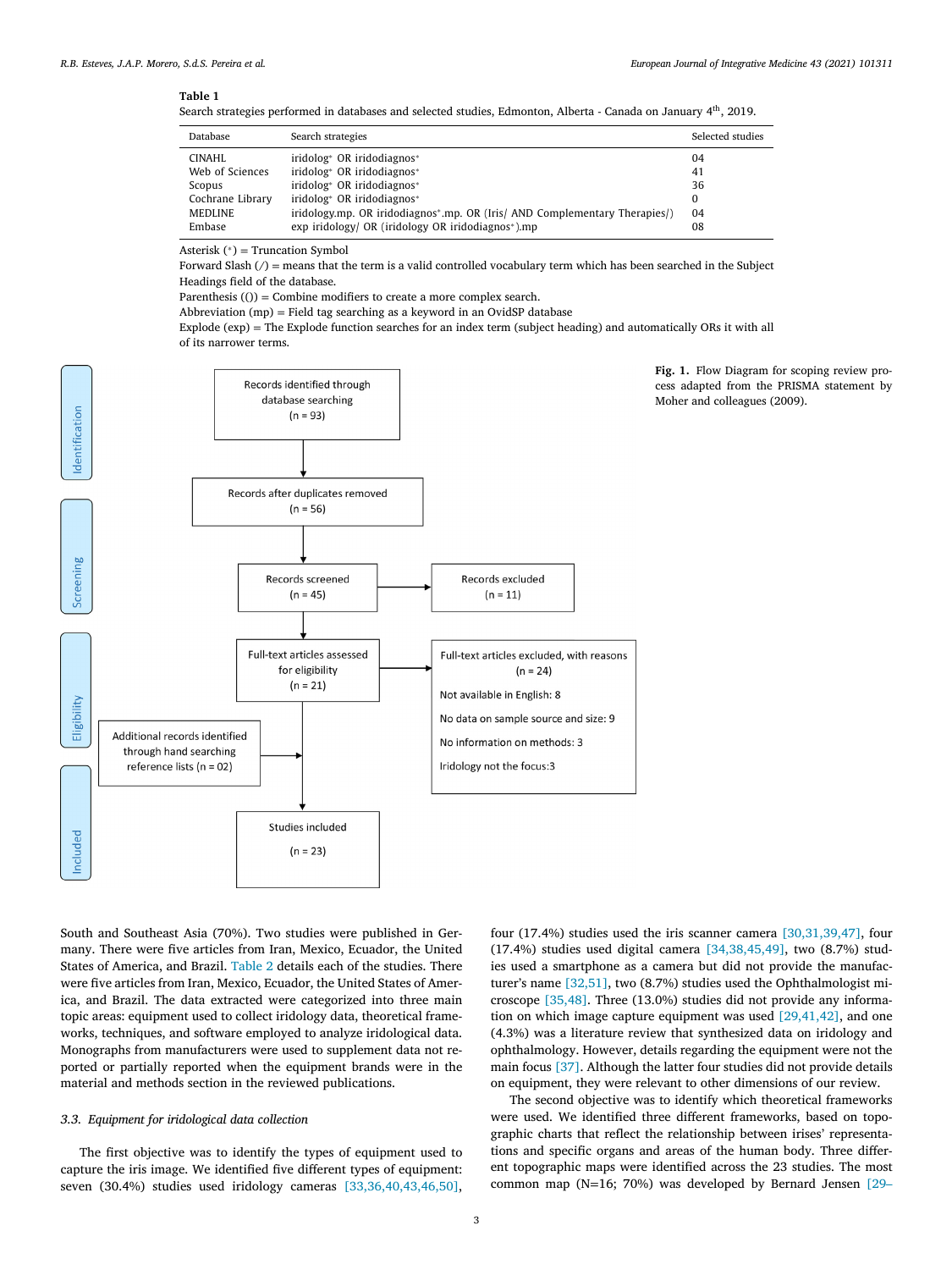## **Table 1**

Search strategies performed in databases and selected studies, Edmonton, Alberta - Canada on January 4<sup>th</sup>, 2019.

| Database         | Search strategies                                                          | Selected studies |
|------------------|----------------------------------------------------------------------------|------------------|
| CINAHL           | iridolog <sup>*</sup> OR iridodiagnos <sup>*</sup>                         | 04               |
| Web of Sciences  | iridolog* OR iridodiagnos*                                                 | 41               |
| Scopus           | iridolog* OR iridodiagnos*                                                 | 36               |
| Cochrane Library | iridolog* OR iridodiagnos*                                                 | $\Omega$         |
| <b>MEDLINE</b>   | iridology.mp. OR iridodiagnos*.mp. OR (Iris/ AND Complementary Therapies/) | 04               |
| Embase           | exp iridology/ OR (iridology OR iridodiagnos*).mp                          | 08               |

Asterisk  $(*)$  = Truncation Symbol

Forward Slash  $\beta$  = means that the term is a valid controlled vocabulary term which has been searched in the Subject Headings field of the database.

Parenthesis  $(0)$  = Combine modifiers to create a more complex search.

Abbreviation (mp) = Field tag searching as a keyword in an OvidSP database

Explode (exp) = The Explode function searches for an index term (subject heading) and automatically ORs it with all of its narrower terms.



**Fig. 1.** Flow Diagram for scoping review process adapted from the PRISMA statement by Moher and colleagues (2009).

South and Southeast Asia (70%). Two studies were published in Germany. There were five articles from Iran, Mexico, Ecuador, the United States of America, and Brazil. Table 2 details each of the studies. There were five articles from Iran, Mexico, Ecuador, the United States of America, and Brazil. The data extracted were categorized into three main topic areas: equipment used to collect iridology data, theoretical frameworks, techniques, and software employed to analyze iridological data. Monographs from manufacturers were used to supplement data not reported or partially reported when the equipment brands were in the material and methods section in the reviewed publications.

# *3.3. Equipment for iridological data collection*

The first objective was to identify the types of equipment used to capture the iris image. We identified five different types of equipment: seven (30.4%) studies used iridology cameras [33,36,40,43,46,50],

four (17.4%) studies used the iris scanner camera [30,31,39,47], four (17.4%) studies used digital camera [34,38,45,49], two (8.7%) studies used a smartphone as a camera but did not provide the manufacturer's name [32,51], two (8.7%) studies used the Ophthalmologist microscope [35,48]. Three (13.0%) studies did not provide any information on which image capture equipment was used [29,41,42], and one (4.3%) was a literature review that synthesized data on iridology and ophthalmology. However, details regarding the equipment were not the main focus [37]. Although the latter four studies did not provide details on equipment, they were relevant to other dimensions of our review.

The second objective was to identify which theoretical frameworks were used. We identified three different frameworks, based on topographic charts that reflect the relationship between irises' representations and specific organs and areas of the human body. Three different topographic maps were identified across the 23 studies. The most common map (N=16; 70%) was developed by Bernard Jensen [29–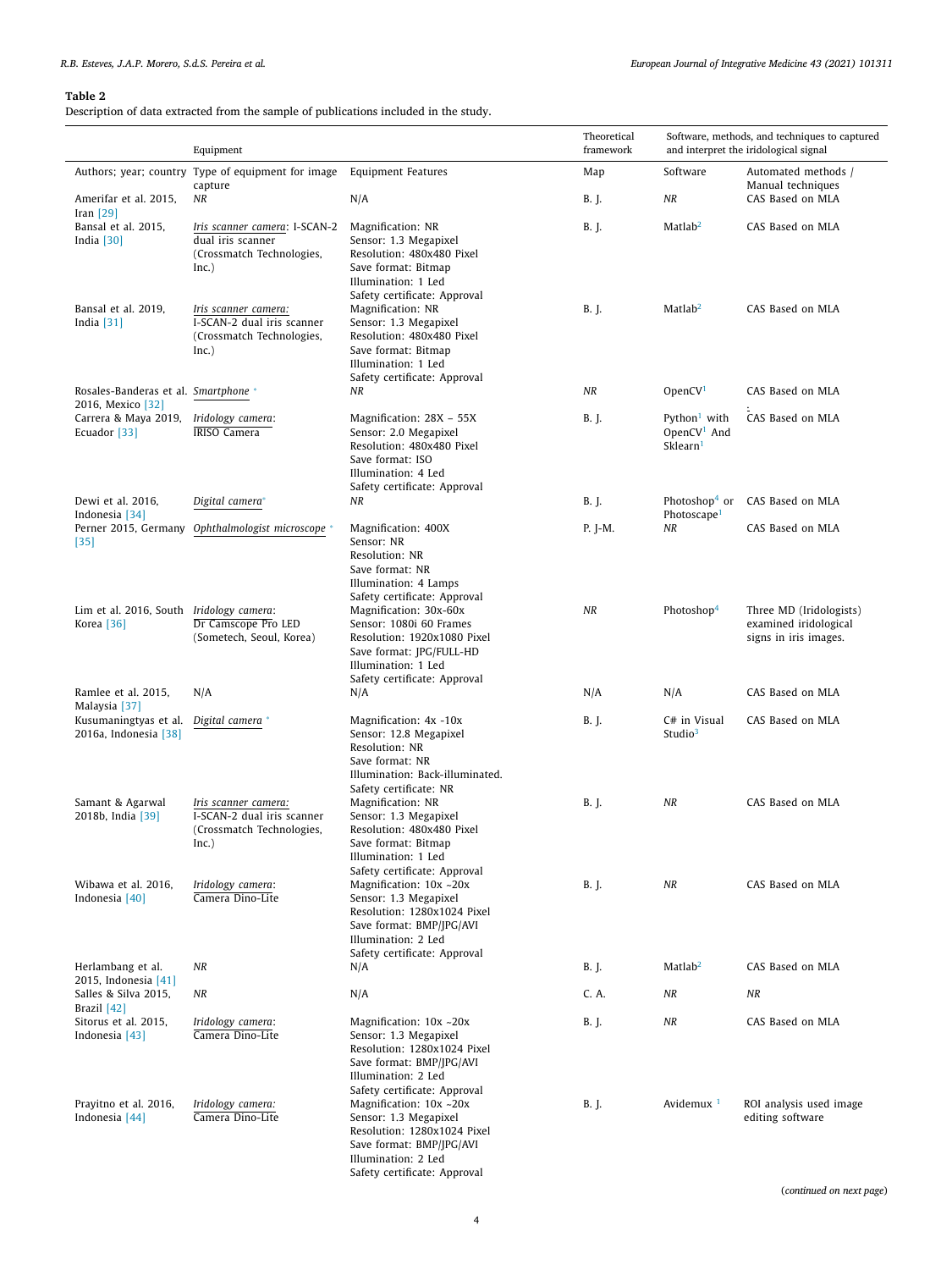# *R.B. Esteves, J.A.P. Morero, S.d.S. Pereira et al. European Journal of Integrative Medicine 43 (2021) 101311*

# **Table 2**

Description of data extracted from the sample of publications included in the study.

|                                                           | Equipment                                                                                |                                                                                                                                                                     | Theoretical<br>framework | Software, methods, and techniques to captured<br>and interpret the iridological signal |                                                                           |
|-----------------------------------------------------------|------------------------------------------------------------------------------------------|---------------------------------------------------------------------------------------------------------------------------------------------------------------------|--------------------------|----------------------------------------------------------------------------------------|---------------------------------------------------------------------------|
|                                                           | Authors; year; country Type of equipment for image<br>capture                            | <b>Equipment Features</b>                                                                                                                                           | Map                      | Software                                                                               | Automated methods /<br>Manual techniques                                  |
| Amerifar et al. 2015,<br>Iran $[29]$                      | NR                                                                                       | N/A                                                                                                                                                                 | B. J.                    | NR                                                                                     | CAS Based on MLA                                                          |
| Bansal et al. 2015,<br>India $[30]$                       | Iris scanner camera: I-SCAN-2<br>dual iris scanner<br>(Crossmatch Technologies,<br>Inc.) | Magnification: NR<br>Sensor: 1.3 Megapixel<br>Resolution: 480x480 Pixel<br>Save format: Bitmap<br>Illumination: 1 Led<br>Safety certificate: Approval               | B. J.                    | Matlab <sup>2</sup>                                                                    | CAS Based on MLA                                                          |
| Bansal et al. 2019,<br>India $[31]$                       | Iris scanner camera:<br>I-SCAN-2 dual iris scanner<br>(Crossmatch Technologies,<br>Inc.) | Magnification: NR<br>Sensor: 1.3 Megapixel<br>Resolution: 480x480 Pixel<br>Save format: Bitmap<br>Illumination: 1 Led<br>Safety certificate: Approval               | B. J.                    | Matlab <sup>2</sup>                                                                    | CAS Based on MLA                                                          |
| Rosales-Banderas et al. Smartphone *<br>2016, Mexico [32] |                                                                                          | ΝR                                                                                                                                                                  | NR                       | OpenCV <sup>1</sup>                                                                    | CAS Based on MLA                                                          |
| Carrera & Maya 2019,<br>Ecuador [33]                      | Iridology camera:<br><b>IRISO Camera</b>                                                 | Magnification: 28X - 55X<br>Sensor: 2.0 Megapixel<br>Resolution: 480x480 Pixel<br>Save format: ISO<br>Illumination: 4 Led<br>Safety certificate: Approval           | B. J.                    | Python <sup>1</sup> with<br>OpenCV <sup>1</sup> And<br>Sklearn <sup>1</sup>            | CAS Based on MLA                                                          |
| Dewi et al. 2016,<br>Indonesia [34]                       | Digital camera*                                                                          | ΝR                                                                                                                                                                  | B. J.                    | Photoshop <sup>4</sup> or<br>Photoscape <sup>1</sup>                                   | CAS Based on MLA                                                          |
| $[35]$                                                    | Perner 2015, Germany Ophthalmologist microscope *                                        | Magnification: 400X<br>Sensor: NR<br>Resolution: NR<br>Save format: NR<br>Illumination: 4 Lamps<br>Safety certificate: Approval                                     | $P.$ J-M.                | NR                                                                                     | CAS Based on MLA                                                          |
| Lim et al. 2016, South Iridology camera:<br>Korea [36]    | Dr Camscope Pro LED<br>(Sometech, Seoul, Korea)                                          | Magnification: 30x-60x<br>Sensor: 1080i 60 Frames<br>Resolution: 1920x1080 Pixel<br>Save format: JPG/FULL-HD<br>Illumination: 1 Led<br>Safety certificate: Approval | NR                       | Photoshop <sup>4</sup>                                                                 | Three MD (Iridologists)<br>examined iridological<br>signs in iris images. |
| Ramlee et al. 2015,<br>Malaysia [37]                      | N/A                                                                                      | N/A                                                                                                                                                                 | N/A                      | N/A                                                                                    | CAS Based on MLA                                                          |
| Kusumaningtyas et al.<br>2016a, Indonesia [38]            | Digital camera *                                                                         | Magnification: 4x -10x<br>Sensor: 12.8 Megapixel<br>Resolution: NR<br>Save format: NR<br>Illumination: Back-illuminated.<br>Safety certificate: NR                  | B. J.                    | C# in Visual<br>Studio <sup>3</sup>                                                    | CAS Based on MLA                                                          |
| Samant & Agarwal<br>2018b, India [39]                     | Iris scanner camera:<br>I-SCAN-2 dual iris scanner<br>(Crossmatch Technologies,<br>Inc.) | Magnification: NR<br>Sensor: 1.3 Megapixel<br>Resolution: 480x480 Pixel<br>Save format: Bitmap<br>Illumination: 1 Led<br>Safety certificate: Approval               | B. J.                    | ΝR                                                                                     | CAS Based on MLA                                                          |
| Wibawa et al. 2016,<br>Indonesia [40]                     | Iridology camera:<br>Camera Dino-Lite                                                    | Magnification: 10x ~20x<br>Sensor: 1.3 Megapixel<br>Resolution: 1280x1024 Pixel<br>Save format: BMP/JPG/AVI<br>Illumination: 2 Led<br>Safety certificate: Approval  | B. J.                    | NR                                                                                     | CAS Based on MLA                                                          |
| Herlambang et al.<br>2015, Indonesia [41]                 | NR                                                                                       | N/A                                                                                                                                                                 | B. J.                    | Math <sup>2</sup>                                                                      | CAS Based on MLA                                                          |
| Salles & Silva 2015,<br>Brazil $[42]$                     | ΝR                                                                                       | N/A                                                                                                                                                                 | C. A.                    | ΝR                                                                                     | NR                                                                        |
| Sitorus et al. 2015,<br>Indonesia [43]                    | Iridology camera:<br>Camera Dino-Lite                                                    | Magnification: 10x ~20x<br>Sensor: 1.3 Megapixel<br>Resolution: 1280x1024 Pixel<br>Save format: BMP/JPG/AVI<br>Illumination: 2 Led<br>Safety certificate: Approval  | B. J.                    | ΝR                                                                                     | CAS Based on MLA                                                          |
| Prayitno et al. 2016,<br>Indonesia [44]                   | Iridology camera:<br>Camera Dino-Lite                                                    | Magnification: 10x ~20x<br>Sensor: 1.3 Megapixel<br>Resolution: 1280x1024 Pixel<br>Save format: BMP/JPG/AVI<br>Illumination: 2 Led<br>Safety certificate: Approval  | B. J.                    | Avidemux <sup>1</sup>                                                                  | ROI analysis used image<br>editing software                               |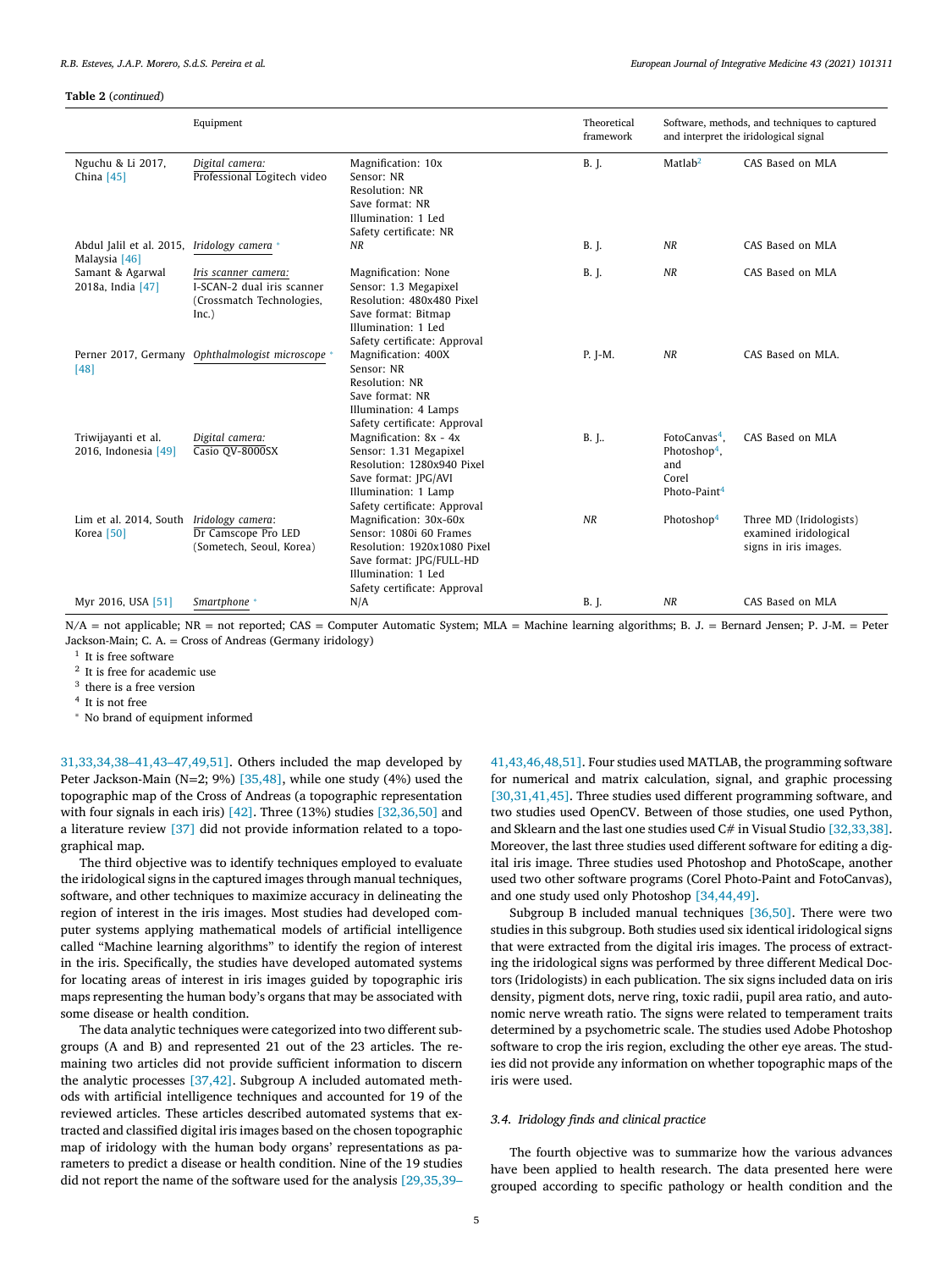**Table 2** (*continued*)

|                                                            | Equipment                                                                                |                                                                                                                                                                     | Theoretical<br>framework | Software, methods, and techniques to captured<br>and interpret the iridological signal            |                                                                           |
|------------------------------------------------------------|------------------------------------------------------------------------------------------|---------------------------------------------------------------------------------------------------------------------------------------------------------------------|--------------------------|---------------------------------------------------------------------------------------------------|---------------------------------------------------------------------------|
| Nguchu & Li 2017,<br>China $[45]$                          | Digital camera:<br>Professional Logitech video                                           | Magnification: 10x<br>Sensor: NR<br>Resolution: NR<br>Save format: NR<br>Illumination: 1 Led<br>Safety certificate: NR                                              | <b>B.</b> J.             | Matlab <sup>2</sup>                                                                               | CAS Based on MLA                                                          |
| Abdul Jalil et al. 2015, Iridology camera<br>Malaysia [46] |                                                                                          | NR                                                                                                                                                                  | <b>B.</b> J.             | NR                                                                                                | CAS Based on MLA                                                          |
| Samant & Agarwal<br>2018a, India [47]                      | Iris scanner camera:<br>I-SCAN-2 dual iris scanner<br>(Crossmatch Technologies,<br>Inc.) | Magnification: None<br>Sensor: 1.3 Megapixel<br>Resolution: 480x480 Pixel<br>Save format: Bitmap<br>Illumination: 1 Led<br>Safety certificate: Approval             | <b>B.</b> J.             | NR                                                                                                | CAS Based on MLA                                                          |
| [48]                                                       | Perner 2017, Germany Ophthalmologist microscope *                                        | Magnification: 400X<br>Sensor: NR<br>Resolution: NR<br>Save format: NR<br>Illumination: 4 Lamps<br>Safety certificate: Approval                                     | P. I-M.                  | <b>NR</b>                                                                                         | CAS Based on MLA.                                                         |
| Triwijayanti et al.<br>2016, Indonesia [49]                | Digital camera:<br>Casio QV-8000SX                                                       | Magnification: 8x - 4x<br>Sensor: 1.31 Megapixel<br>Resolution: 1280x940 Pixel<br>Save format: JPG/AVI<br>Illumination: 1 Lamp<br>Safety certificate: Approval      | B. J                     | FotoCanvas <sup>4</sup> .<br>Photoshop <sup>4</sup> ,<br>and<br>Corel<br>Photo-Paint <sup>4</sup> | CAS Based on MLA                                                          |
| Lim et al. 2014, South Iridology camera:<br>Korea [50]     | Dr Camscope Pro LED<br>(Sometech, Seoul, Korea)                                          | Magnification: 30x-60x<br>Sensor: 1080i 60 Frames<br>Resolution: 1920x1080 Pixel<br>Save format: JPG/FULL-HD<br>Illumination: 1 Led<br>Safety certificate: Approval | <b>NR</b>                | Photoshop <sup>4</sup>                                                                            | Three MD (Iridologists)<br>examined iridological<br>signs in iris images. |
| Myr 2016, USA [51]                                         | Smartphone *                                                                             | N/A                                                                                                                                                                 | <b>B.</b> J.             | NR                                                                                                | CAS Based on MLA                                                          |

 $N/A$  = not applicable; NR = not reported; CAS = Computer Automatic System; MLA = Machine learning algorithms; B. J. = Bernard Jensen; P. J-M. = Peter Jackson-Main; C. A. = Cross of Andreas (Germany iridology)

<sup>1</sup> It is free software

<sup>2</sup> It is free for academic use

<sup>3</sup> there is a free version

<sup>4</sup> It is not free

<sup>∗</sup> No brand of equipment informed

31,33,34,38–41,43–47,49,51]. Others included the map developed by Peter Jackson-Main (N=2; 9%) [35,48], while one study (4%) used the topographic map of the Cross of Andreas (a topographic representation with four signals in each iris) [42]. Three (13%) studies [32,36,50] and a literature review [37] did not provide information related to a topographical map.

The third objective was to identify techniques employed to evaluate the iridological signs in the captured images through manual techniques, software, and other techniques to maximize accuracy in delineating the region of interest in the iris images. Most studies had developed computer systems applying mathematical models of artificial intelligence called "Machine learning algorithms" to identify the region of interest in the iris. Specifically, the studies have developed automated systems for locating areas of interest in iris images guided by topographic iris maps representing the human body's organs that may be associated with some disease or health condition.

The data analytic techniques were categorized into two different subgroups (A and B) and represented 21 out of the 23 articles. The remaining two articles did not provide sufficient information to discern the analytic processes [37,42]. Subgroup A included automated methods with artificial intelligence techniques and accounted for 19 of the reviewed articles. These articles described automated systems that extracted and classified digital iris images based on the chosen topographic map of iridology with the human body organs' representations as parameters to predict a disease or health condition. Nine of the 19 studies did not report the name of the software used for the analysis [29,35,39–

41,43,46,48,51]. Four studies used MATLAB, the programming software for numerical and matrix calculation, signal, and graphic processing [30,31,41,45]. Three studies used different programming software, and two studies used OpenCV. Between of those studies, one used Python, and Sklearn and the last one studies used C# in Visual Studio [32,33,38]. Moreover, the last three studies used different software for editing a digital iris image. Three studies used Photoshop and PhotoScape, another used two other software programs (Corel Photo-Paint and FotoCanvas), and one study used only Photoshop [34,44,49].

Subgroup B included manual techniques [36,50]. There were two studies in this subgroup. Both studies used six identical iridological signs that were extracted from the digital iris images. The process of extracting the iridological signs was performed by three different Medical Doctors (Iridologists) in each publication. The six signs included data on iris density, pigment dots, nerve ring, toxic radii, pupil area ratio, and autonomic nerve wreath ratio. The signs were related to temperament traits determined by a psychometric scale. The studies used Adobe Photoshop software to crop the iris region, excluding the other eye areas. The studies did not provide any information on whether topographic maps of the iris were used.

## *3.4. Iridology finds and clinical practice*

The fourth objective was to summarize how the various advances have been applied to health research. The data presented here were grouped according to specific pathology or health condition and the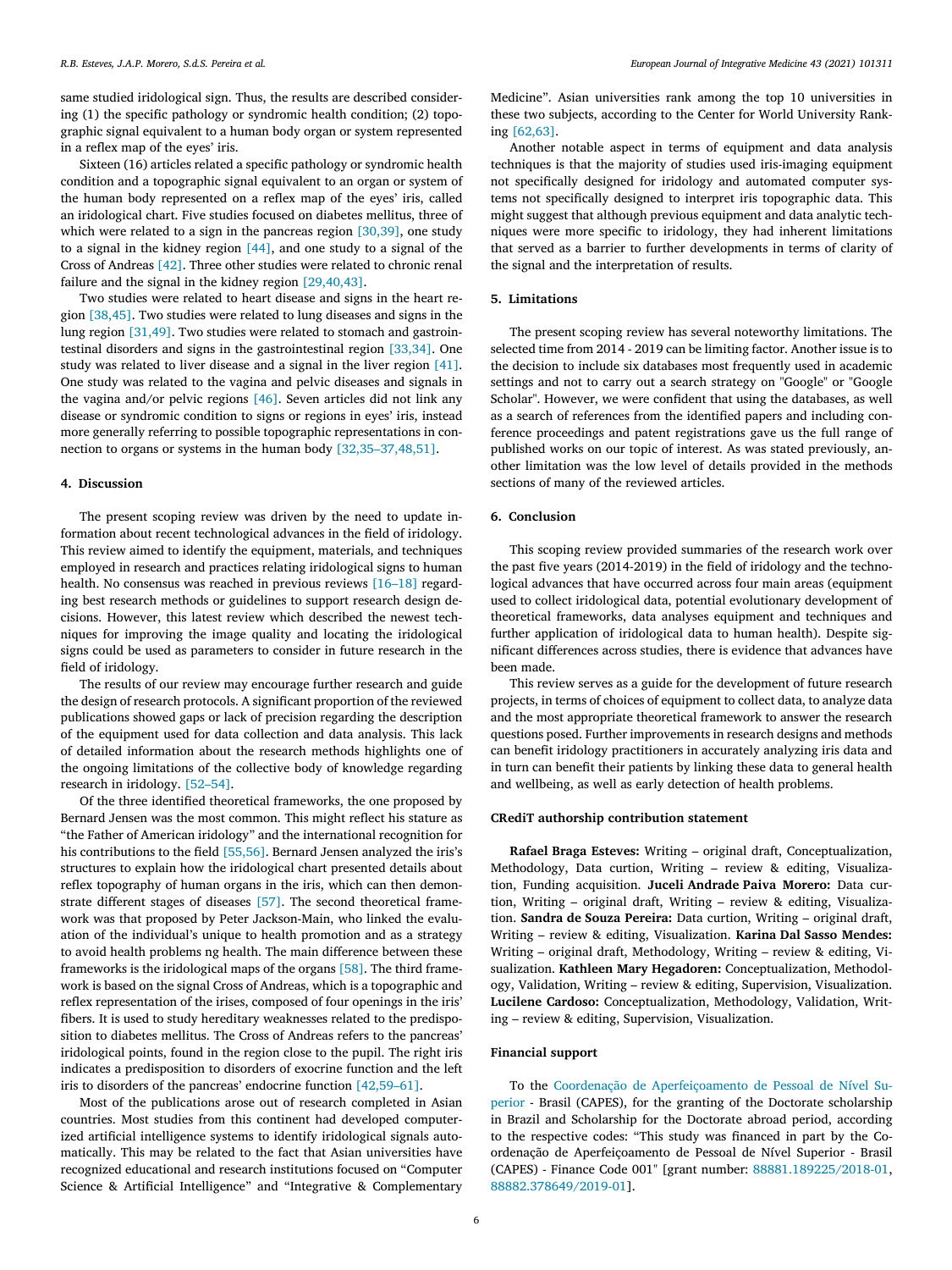same studied iridological sign. Thus, the results are described considering (1) the specific pathology or syndromic health condition; (2) topographic signal equivalent to a human body organ or system represented in a reflex map of the eyes' iris.

Sixteen (16) articles related a specific pathology or syndromic health condition and a topographic signal equivalent to an organ or system of the human body represented on a reflex map of the eyes' iris, called an iridological chart. Five studies focused on diabetes mellitus, three of which were related to a sign in the pancreas region [30,39], one study to a signal in the kidney region [44], and one study to a signal of the Cross of Andreas [42]. Three other studies were related to chronic renal failure and the signal in the kidney region [29,40,43].

Two studies were related to heart disease and signs in the heart region [38,45]. Two studies were related to lung diseases and signs in the lung region [31,49]. Two studies were related to stomach and gastrointestinal disorders and signs in the gastrointestinal region [33,34]. One study was related to liver disease and a signal in the liver region [41]. One study was related to the vagina and pelvic diseases and signals in the vagina and/or pelvic regions [46]. Seven articles did not link any disease or syndromic condition to signs or regions in eyes' iris, instead more generally referring to possible topographic representations in connection to organs or systems in the human body [32,35–37,48,51].

## **4. Discussion**

The present scoping review was driven by the need to update information about recent technological advances in the field of iridology. This review aimed to identify the equipment, materials, and techniques employed in research and practices relating iridological signs to human health. No consensus was reached in previous reviews [16–18] regarding best research methods or guidelines to support research design decisions. However, this latest review which described the newest techniques for improving the image quality and locating the iridological signs could be used as parameters to consider in future research in the field of iridology.

The results of our review may encourage further research and guide the design of research protocols. A significant proportion of the reviewed publications showed gaps or lack of precision regarding the description of the equipment used for data collection and data analysis. This lack of detailed information about the research methods highlights one of the ongoing limitations of the collective body of knowledge regarding research in iridology. [52–54].

Of the three identified theoretical frameworks, the one proposed by Bernard Jensen was the most common. This might reflect his stature as "the Father of American iridology" and the international recognition for his contributions to the field [55,56]. Bernard Jensen analyzed the iris's structures to explain how the iridological chart presented details about reflex topography of human organs in the iris, which can then demonstrate different stages of diseases [57]. The second theoretical framework was that proposed by Peter Jackson-Main, who linked the evaluation of the individual's unique to health promotion and as a strategy to avoid health problems ng health. The main difference between these frameworks is the iridological maps of the organs [58]. The third framework is based on the signal Cross of Andreas, which is a topographic and reflex representation of the irises, composed of four openings in the iris' fibers. It is used to study hereditary weaknesses related to the predisposition to diabetes mellitus. The Cross of Andreas refers to the pancreas' iridological points, found in the region close to the pupil. The right iris indicates a predisposition to disorders of exocrine function and the left iris to disorders of the pancreas' endocrine function [42,59–61].

Most of the publications arose out of research completed in Asian countries. Most studies from this continent had developed computerized artificial intelligence systems to identify iridological signals automatically. This may be related to the fact that Asian universities have recognized educational and research institutions focused on "Computer Science & Artificial Intelligence" and "Integrative & Complementary Medicine". Asian universities rank among the top 10 universities in these two subjects, according to the Center for World University Ranking [62,63].

Another notable aspect in terms of equipment and data analysis techniques is that the majority of studies used iris-imaging equipment not specifically designed for iridology and automated computer systems not specifically designed to interpret iris topographic data. This might suggest that although previous equipment and data analytic techniques were more specific to iridology, they had inherent limitations that served as a barrier to further developments in terms of clarity of the signal and the interpretation of results.

## **5. Limitations**

The present scoping review has several noteworthy limitations. The selected time from 2014 - 2019 can be limiting factor. Another issue is to the decision to include six databases most frequently used in academic settings and not to carry out a search strategy on "Google" or "Google Scholar". However, we were confident that using the databases, as well as a search of references from the identified papers and including conference proceedings and patent registrations gave us the full range of published works on our topic of interest. As was stated previously, another limitation was the low level of details provided in the methods sections of many of the reviewed articles.

# **6. Conclusion**

This scoping review provided summaries of the research work over the past five years (2014-2019) in the field of iridology and the technological advances that have occurred across four main areas (equipment used to collect iridological data, potential evolutionary development of theoretical frameworks, data analyses equipment and techniques and further application of iridological data to human health). Despite significant differences across studies, there is evidence that advances have been made.

This review serves as a guide for the development of future research projects, in terms of choices of equipment to collect data, to analyze data and the most appropriate theoretical framework to answer the research questions posed. Further improvements in research designs and methods can benefit iridology practitioners in accurately analyzing iris data and in turn can benefit their patients by linking these data to general health and wellbeing, as well as early detection of health problems.

# **CRediT authorship contribution statement**

**Rafael Braga Esteves:** Writing – original draft, Conceptualization, Methodology, Data curtion, Writing – review & editing, Visualization, Funding acquisition. **Juceli Andrade Paiva Morero:** Data curtion, Writing – original draft, Writing – review & editing, Visualization. **Sandra de Souza Pereira:** Data curtion, Writing – original draft, Writing – review & editing, Visualization. **Karina Dal Sasso Mendes:** Writing – original draft, Methodology, Writing – review & editing, Visualization. **Kathleen Mary Hegadoren:** Conceptualization, Methodology, Validation, Writing – review & editing, Supervision, Visualization. **Lucilene Cardoso:** Conceptualization, Methodology, Validation, Writing – review & editing, Supervision, Visualization.

## **Financial support**

To the Coordenação de Aperfeiçoamento de Pessoal de Nível Superior - Brasil (CAPES), for the granting of the Doctorate scholarship in Brazil and Scholarship for the Doctorate abroad period, according to the respective codes: "This study was financed in part by the Coordenação de Aperfeiçoamento de Pessoal de Nível Superior - Brasil (CAPES) - Finance Code 001" [grant number: 88881.189225/2018-01, 88882.378649/2019-01].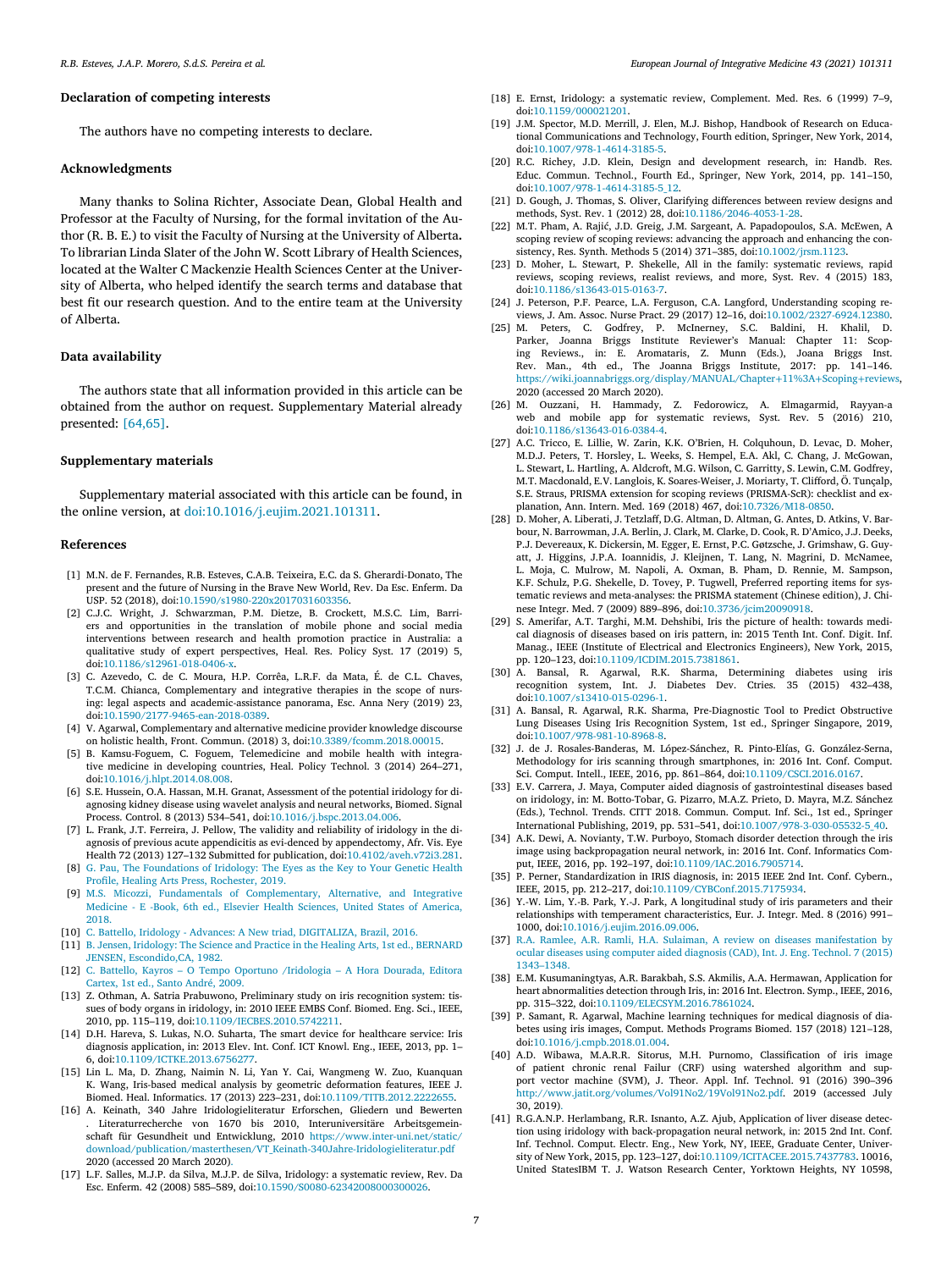# **Declaration of competing interests**

The authors have no competing interests to declare.

## **Acknowledgments**

Many thanks to Solina Richter, Associate Dean, Global Health and Professor at the Faculty of Nursing, for the formal invitation of the Author (R. B. E.) to visit the Faculty of Nursing at the University of Alberta**.** To librarian Linda Slater of the John W. Scott Library of Health Sciences, located at the Walter C Mackenzie Health Sciences Center at the University of Alberta, who helped identify the search terms and database that best fit our research question. And to the entire team at the University of Alberta.

# **Data availability**

The authors state that all information provided in this article can be obtained from the author on request. Supplementary Material already presented: [64,65].

# **Supplementary materials**

Supplementary material associated with this article can be found, in the online version, at doi:10.1016/j.eujim.2021.101311.

#### **References**

- [1] M.N. de F. Fernandes, R.B. Esteves, C.A.B. Teixeira, E.C. da S. Gherardi-Donato, The present and the future of Nursing in the Brave New World, Rev. Da Esc. Enferm. Da USP. 52 (2018), doi:10.1590/s1980-220x2017031603356.
- [2] C.J.C. Wright, J. Schwarzman, P.M. Dietze, B. Crockett, M.S.C. Lim, Barriers and opportunities in the translation of mobile phone and social media interventions between research and health promotion practice in Australia: a qualitative study of expert perspectives, Heal. Res. Policy Syst. 17 (2019) 5, doi:10.1186/s12961-018-0406-x.
- [3] C. Azevedo, C. de C. Moura, H.P. Corrêa, L.R.F. da Mata, É. de C.L. Chaves, T.C.M. Chianca, Complementary and integrative therapies in the scope of nursing: legal aspects and academic-assistance panorama, Esc. Anna Nery (2019) 23, doi:10.1590/2177-9465-ean-2018-0389.
- [4] V. Agarwal, Complementary and alternative medicine provider knowledge discourse on holistic health, Front. Commun. (2018) 3, doi:10.3389/fcomm.2018.00015.
- [5] B. Kamsu-Foguem, C. Foguem, Telemedicine and mobile health with integrative medicine in developing countries, Heal. Policy Technol. 3 (2014) 264–271, doi:10.1016/j.hlpt.2014.08.008.
- [6] S.E. Hussein, O.A. Hassan, M.H. Granat, Assessment of the potential iridology for diagnosing kidney disease using wavelet analysis and neural networks, Biomed. Signal Process. Control. 8 (2013) 534–541, doi:10.1016/j.bspc.2013.04.006.
- [7] L. Frank, J.T. Ferreira, J. Pellow, The validity and reliability of iridology in the diagnosis of previous acute appendicitis as evi-denced by appendectomy, Afr. Vis. Eye Health 72 (2013) 127–132 Submitted for publication, doi:10.4102/aveh.v72i3.281.
- [8] G. Pau, The Foundations of Iridology: The Eyes as the Key to Your Genetic Health Profile, Healing Arts Press, Rochester, 2019.
- [9] M.S. Micozzi, Fundamentals of Complementary, Alternative, and Integrative Medicine - E -Book, 6th ed., Elsevier Health Sciences, United States of America, 2018.
- [10] C. Battello, Iridology Advances: A New triad, DIGITALIZA, Brazil, 2016.
- [11] B. Jensen, Iridology: The Science and Practice in the Healing Arts, 1st ed., BERNARD JENSEN, Escondido,CA, 1982.
- [12] C. Battello, Kayros O Tempo Oportuno /Iridologia A Hora Dourada, Editora Cartex, 1st ed., Santo André, 2009.
- [13] Z. Othman, A. Satria Prabuwono, Preliminary study on iris recognition system: tissues of body organs in iridology, in: 2010 IEEE EMBS Conf. Biomed. Eng. Sci., IEEE, 2010, pp. 115–119, doi:10.1109/IECBES.2010.5742211.
- [14] D.H. Hareva, S. Lukas, N.O. Suharta, The smart device for healthcare service: Iris diagnosis application, in: 2013 Elev. Int. Conf. ICT Knowl. Eng., IEEE, 2013, pp. 1– 6, doi:10.1109/ICTKE.2013.6756277.
- [15] Lin L. Ma, D. Zhang, Naimin N. Li, Yan Y. Cai, Wangmeng W. Zuo, Kuanquan K. Wang, Iris-based medical analysis by geometric deformation features, IEEE J. Biomed. Heal. Informatics. 17 (2013) 223–231, doi:10.1109/TITB.2012.2222655.
- [16] A. Keinath, 340 Jahre Iridologieliteratur Erforschen, Gliedern und Bewerten . Literaturrecherche von 1670 bis 2010, Interuniversitäre Arbeitsgemeinschaft für Gesundheit und Entwicklung, 2010 https://www.inter-uni.net/static/ download/publication/masterthesen/VT\_Keinath-340Jahre-Iridologieliteratur.pdf 2020 (accessed 20 March 2020).
- [17] L.F. Salles, M.J.P. da Silva, M.J.P. de Silva, Iridology: a systematic review, Rev. Da Esc. Enferm. 42 (2008) 585–589, doi:10.1590/S0080-62342008000300026.
- [18] E. Ernst, Iridology: a systematic review, Complement. Med. Res. 6 (1999) 7–9, doi:10.1159/000021201.
- [19] J.M. Spector, M.D. Merrill, J. Elen, M.J. Bishop, Handbook of Research on Educational Communications and Technology, Fourth edition, Springer, New York, 2014, doi:10.1007/978-1-4614-3185-5.
- [20] R.C. Richey, J.D. Klein, Design and development research, in: Handb. Res. Educ. Commun. Technol., Fourth Ed., Springer, New York, 2014, pp. 141–150, doi:10.1007/978-1-4614-3185-5\_12.
- [21] D. Gough, J. Thomas, S. Oliver, Clarifying differences between review designs and methods, Syst. Rev. 1 (2012) 28, doi:10.1186/2046-4053-1-28.
- [22] M.T. Pham, A. Rajić, J.D. Greig, J.M. Sargeant, A. Papadopoulos, S.A. McEwen, A scoping review of scoping reviews: advancing the approach and enhancing the consistency, Res. Synth. Methods 5 (2014) 371–385, doi:10.1002/jrsm.1123.
- [23] D. Moher, L. Stewart, P. Shekelle, All in the family: systematic reviews, rapid reviews, scoping reviews, realist reviews, and more, Syst. Rev. 4 (2015) 183, doi:10.1186/s13643-015-0163-7.
- [24] J. Peterson, P.F. Pearce, L.A. Ferguson, C.A. Langford, Understanding scoping reviews, J. Am. Assoc. Nurse Pract. 29 (2017) 12–16, doi:10.1002/2327-6924.12380.
- [25] M. Peters, C. Godfrey, P. McInerney, S.C. Baldini, H. Khalil, D. Parker, Joanna Briggs Institute Reviewer's Manual: Chapter 11: Scoping Reviews., in: E. Aromataris, Z. Munn (Eds.), Joana Briggs Inst. Rev. Man., 4th ed., The Joanna Briggs Institute, 2017: pp. 141–146. https://wiki.joannabriggs.org/display/MANUAL/Chapter+11%3A+Scoping+reviews, 2020 (accessed 20 March 2020).
- [26] M. Ouzzani, H. Hammady, Z. Fedorowicz, A. Elmagarmid, Rayyan-a web and mobile app for systematic reviews, Syst. Rev. 5 (2016) 210, doi:10.1186/s13643-016-0384-4.
- [27] A.C. Tricco, E. Lillie, W. Zarin, K.K. O'Brien, H. Colquhoun, D. Levac, D. Moher, M.D.J. Peters, T. Horsley, L. Weeks, S. Hempel, E.A. Akl, C. Chang, J. McGowan, L. Stewart, L. Hartling, A. Aldcroft, M.G. Wilson, C. Garritty, S. Lewin, C.M. Godfrey, M.T. Macdonald, E.V. Langlois, K. Soares-Weiser, J. Moriarty, T. Clifford, Ö. Tunçalp, S.E. Straus, PRISMA extension for scoping reviews (PRISMA-ScR): checklist and explanation, Ann. Intern. Med. 169 (2018) 467, doi:10.7326/M18-0850.
- [28] D. Moher, A. Liberati, J. Tetzlaff, D.G. Altman, D. Altman, G. Antes, D. Atkins, V. Barbour, N. Barrowman, J.A. Berlin, J. Clark, M. Clarke, D. Cook, R. D'Amico, J.J. Deeks, P.J. Devereaux, K. Dickersin, M. Egger, E. Ernst, P.C. Gøtzsche, J. Grimshaw, G. Guyatt, J. Higgins, J.P.A. Ioannidis, J. Kleijnen, T. Lang, N. Magrini, D. McNamee, L. Moja, C. Mulrow, M. Napoli, A. Oxman, B. Pham, D. Rennie, M. Sampson, K.F. Schulz, P.G. Shekelle, D. Tovey, P. Tugwell, Preferred reporting items for systematic reviews and meta-analyses: the PRISMA statement (Chinese edition), J. Chinese Integr. Med. 7 (2009) 889–896, doi:10.3736/jcim20090918.
- [29] S. Amerifar, A.T. Targhi, M.M. Dehshibi, Iris the picture of health: towards medical diagnosis of diseases based on iris pattern, in: 2015 Tenth Int. Conf. Digit. Inf. Manag., IEEE (Institute of Electrical and Electronics Engineers), New York, 2015, pp. 120–123, doi:10.1109/ICDIM.2015.7381861.
- [30] A. Bansal, R. Agarwal, R.K. Sharma, Determining diabetes using iris recognition system, Int. J. Diabetes Dev. Ctries. 35 (2015) 432–438, doi:10.1007/s13410-015-0296-1.
- [31] A. Bansal, R. Agarwal, R.K. Sharma, Pre-Diagnostic Tool to Predict Obstructive Lung Diseases Using Iris Recognition System, 1st ed., Springer Singapore, 2019, doi:10.1007/978-981-10-8968-8.
- [32] J. de J. Rosales-Banderas, M. López-Sánchez, R. Pinto-Elías, G. González-Serna, Methodology for iris scanning through smartphones, in: 2016 Int. Conf. Comput. Sci. Comput. Intell., IEEE, 2016, pp. 861–864, doi:10.1109/CSCI.2016.0167.
- [33] E.V. Carrera, J. Maya, Computer aided diagnosis of gastrointestinal diseases based on iridology, in: M. Botto-Tobar, G. Pizarro, M.A.Z. Prieto, D. Mayra, M.Z. Sánchez (Eds.), Technol. Trends. CITT 2018. Commun. Comput. Inf. Sci., 1st ed., Springer International Publishing, 2019, pp. 531–541, doi:10.1007/978-3-030-05532-5\_40.
- [34] A.K. Dewi, A. Novianty, T.W. Purboyo, Stomach disorder detection through the iris image using backpropagation neural network, in: 2016 Int. Conf. Informatics Comput, IEEE, 2016, pp. 192–197, doi:10.1109/IAC.2016.7905714.
- [35] P. Perner, Standardization in IRIS diagnosis, in: 2015 IEEE 2nd Int. Conf. Cybern., IEEE, 2015, pp. 212–217, doi:10.1109/CYBConf.2015.7175934.
- [36] Y.-W. Lim, Y.-B. Park, Y.-J. Park, A longitudinal study of iris parameters and their relationships with temperament characteristics, Eur. J. Integr. Med. 8 (2016) 991– 1000, doi:10.1016/j.eujim.2016.09.006.
- [37] R.A. Ramlee, A.R. Ramli, H.A. Sulaiman, A review on diseases manifestation by ocular diseases using computer aided diagnosis (CAD), Int. J. Eng. Technol. 7 (2015) 1343–1348.
- [38] E.M. Kusumaningtyas, A.R. Barakbah, S.S. Akmilis, A.A. Hermawan, Application for heart abnormalities detection through Iris, in: 2016 Int. Electron. Symp., IEEE, 2016, pp. 315–322, doi:10.1109/ELECSYM.2016.7861024.
- [39] P. Samant, R. Agarwal, Machine learning techniques for medical diagnosis of diabetes using iris images, Comput. Methods Programs Biomed. 157 (2018) 121–128, doi:10.1016/j.cmpb.2018.01.004.
- [40] A.D. Wibawa, M.A.R.R. Sitorus, M.H. Purnomo, Classification of iris image of patient chronic renal Failur (CRF) using watershed algorithm and support vector machine (SVM), J. Theor. Appl. Inf. Technol. 91 (2016) 390–396 http://www.jatit.org/volumes/Vol91No2/19Vol91No2.pdf. 2019 (accessed July 30, 2019).
- [41] R.G.A.N.P. Herlambang, R.R. Isnanto, A.Z. Ajub, Application of liver disease detection using iridology with back-propagation neural network, in: 2015 2nd Int. Conf. Inf. Technol. Comput. Electr. Eng., New York, NY, IEEE, Graduate Center, University of New York, 2015, pp. 123–127, doi:10.1109/ICITACEE.2015.7437783. 10016, United StatesIBM T. J. Watson Research Center, Yorktown Heights, NY 10598,